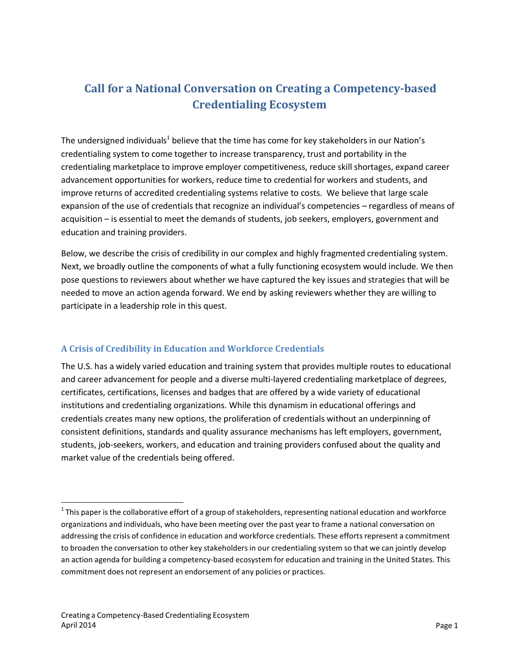# **Call for a National Conversation on Creating a Competency-based Credentialing Ecosystem**

The undersigned individuals<sup>1</sup> believe that the time has come for key stakeholders in our Nation's credentialing system to come together to increase transparency, trust and portability in the credentialing marketplace to improve employer competitiveness, reduce skill shortages, expand career advancement opportunities for workers, reduce time to credential for workers and students, and improve returns of accredited credentialing systems relative to costs. We believe that large scale expansion of the use of credentials that recognize an individual's competencies – regardless of means of acquisition – is essential to meet the demands of students, job seekers, employers, government and education and training providers.

Below, we describe the crisis of credibility in our complex and highly fragmented credentialing system. Next, we broadly outline the components of what a fully functioning ecosystem would include. We then pose questions to reviewers about whether we have captured the key issues and strategies that will be needed to move an action agenda forward. We end by asking reviewers whether they are willing to participate in a leadership role in this quest.

## **A Crisis of Credibility in Education and Workforce Credentials**

The U.S. has a widely varied education and training system that provides multiple routes to educational and career advancement for people and a diverse multi-layered credentialing marketplace of degrees, certificates, certifications, licenses and badges that are offered by a wide variety of educational institutions and credentialing organizations. While this dynamism in educational offerings and credentials creates many new options, the proliferation of credentials without an underpinning of consistent definitions, standards and quality assurance mechanisms has left employers, government, students, job-seekers, workers, and education and training providers confused about the quality and market value of the credentials being offered.

 $^{\text{1}}$  This paper is the collaborative effort of a group of stakeholders, representing national education and workforce organizations and individuals, who have been meeting over the past year to frame a national conversation on addressing the crisis of confidence in education and workforce credentials. These efforts represent a commitment to broaden the conversation to other key stakeholders in our credentialing system so that we can jointly develop an action agenda for building a competency-based ecosystem for education and training in the United States. This commitment does not represent an endorsement of any policies or practices.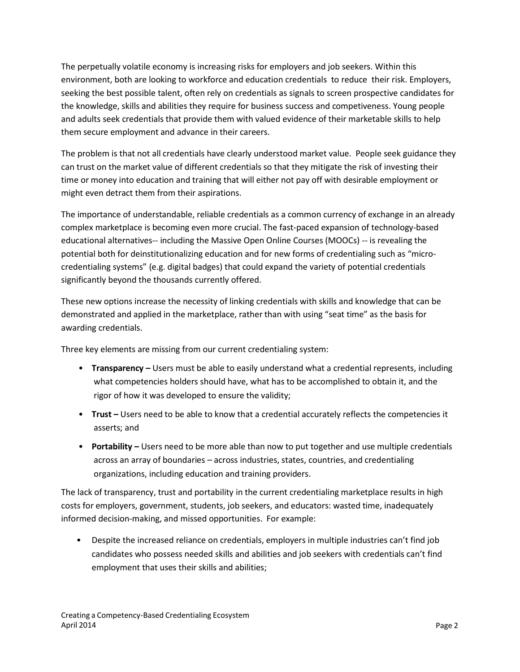The perpetually volatile economy is increasing risks for employers and job seekers. Within this environment, both are looking to workforce and education credentials to reduce their risk. Employers, seeking the best possible talent, often rely on credentials as signals to screen prospective candidates for the knowledge, skills and abilities they require for business success and competiveness. Young people and adults seek credentials that provide them with valued evidence of their marketable skills to help them secure employment and advance in their careers.

The problem is that not all credentials have clearly understood market value. People seek guidance they can trust on the market value of different credentials so that they mitigate the risk of investing their time or money into education and training that will either not pay off with desirable employment or might even detract them from their aspirations.

The importance of understandable, reliable credentials as a common currency of exchange in an already complex marketplace is becoming even more crucial. The fast-paced expansion of technology-based educational alternatives-- including the Massive Open Online Courses (MOOCs) -- is revealing the potential both for deinstitutionalizing education and for new forms of credentialing such as "microcredentialing systems" (e.g. digital badges) that could expand the variety of potential credentials significantly beyond the thousands currently offered.

These new options increase the necessity of linking credentials with skills and knowledge that can be demonstrated and applied in the marketplace, rather than with using "seat time" as the basis for awarding credentials.

Three key elements are missing from our current credentialing system:

- **Transparency –** Users must be able to easily understand what a credential represents, including what competencies holders should have, what has to be accomplished to obtain it, and the rigor of how it was developed to ensure the validity;
- **Trust –** Users need to be able to know that a credential accurately reflects the competencies it asserts; and
- **Portability –** Users need to be more able than now to put together and use multiple credentials across an array of boundaries – across industries, states, countries, and credentialing organizations, including education and training providers.

The lack of transparency, trust and portability in the current credentialing marketplace results in high costs for employers, government, students, job seekers, and educators: wasted time, inadequately informed decision-making, and missed opportunities. For example:

• Despite the increased reliance on credentials, employers in multiple industries can't find job candidates who possess needed skills and abilities and job seekers with credentials can't find employment that uses their skills and abilities;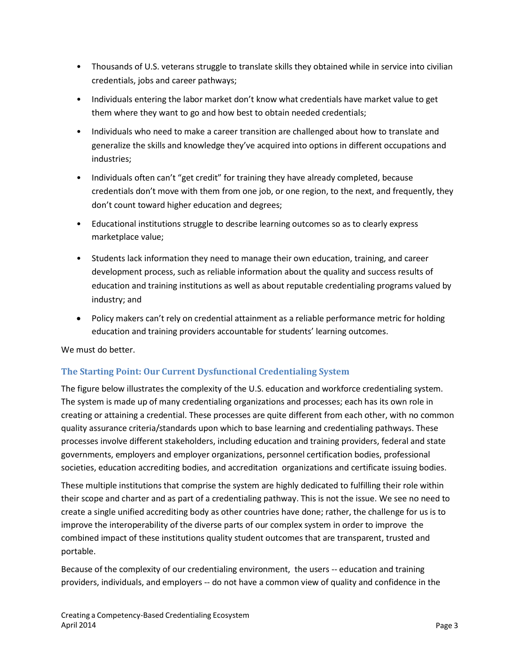- Thousands of U.S. veterans struggle to translate skills they obtained while in service into civilian credentials, jobs and career pathways;
- Individuals entering the labor market don't know what credentials have market value to get them where they want to go and how best to obtain needed credentials;
- Individuals who need to make a career transition are challenged about how to translate and generalize the skills and knowledge they've acquired into options in different occupations and industries;
- Individuals often can't "get credit" for training they have already completed, because credentials don't move with them from one job, or one region, to the next, and frequently, they don't count toward higher education and degrees;
- Educational institutions struggle to describe learning outcomes so as to clearly express marketplace value;
- Students lack information they need to manage their own education, training, and career development process, such as reliable information about the quality and success results of education and training institutions as well as about reputable credentialing programs valued by industry; and
- Policy makers can't rely on credential attainment as a reliable performance metric for holding education and training providers accountable for students' learning outcomes.

We must do better.

## **The Starting Point: Our Current Dysfunctional Credentialing System**

The figure below illustrates the complexity of the U.S. education and workforce credentialing system. The system is made up of many credentialing organizations and processes; each has its own role in creating or attaining a credential. These processes are quite different from each other, with no common quality assurance criteria/standards upon which to base learning and credentialing pathways. These processes involve different stakeholders, including education and training providers, federal and state governments, employers and employer organizations, personnel certification bodies, professional societies, education accrediting bodies, and accreditation organizations and certificate issuing bodies.

These multiple institutions that comprise the system are highly dedicated to fulfilling their role within their scope and charter and as part of a credentialing pathway. This is not the issue. We see no need to create a single unified accrediting body as other countries have done; rather, the challenge for us is to improve the interoperability of the diverse parts of our complex system in order to improve the combined impact of these institutions quality student outcomes that are transparent, trusted and portable.

Because of the complexity of our credentialing environment, the users -- education and training providers, individuals, and employers -- do not have a common view of quality and confidence in the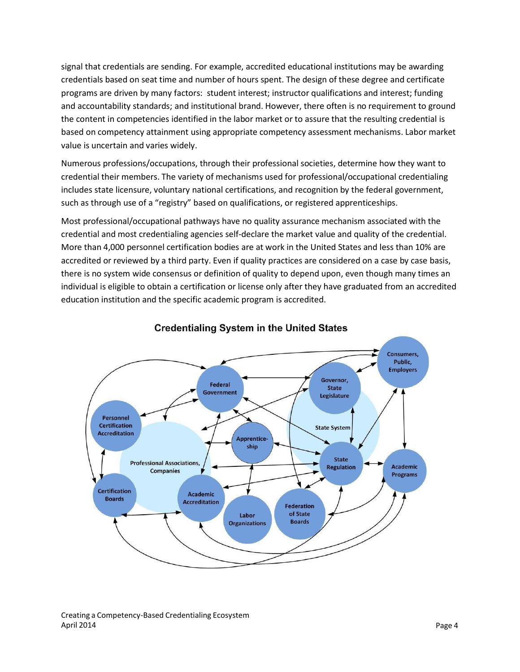signal that credentials are sending. For example, accredited educational institutions may be awarding credentials based on seat time and number of hours spent. The design of these degree and certificate programs are driven by many factors: student interest; instructor qualifications and interest; funding and accountability standards; and institutional brand. However, there often is no requirement to ground the content in competencies identified in the labor market or to assure that the resulting credential is based on competency attainment using appropriate competency assessment mechanisms. Labor market value is uncertain and varies widely.

Numerous professions/occupations, through their professional societies, determine how they want to credential their members. The variety of mechanisms used for professional/occupational credentialing includes state licensure, voluntary national certifications, and recognition by the federal government, such as through use of a "registry" based on qualifications, or registered apprenticeships.

Most professional/occupational pathways have no quality assurance mechanism associated with the credential and most credentialing agencies self-declare the market value and quality of the credential. More than 4,000 personnel certification bodies are at work in the United States and less than 10% are accredited or reviewed by a third party. Even if quality practices are considered on a case by case basis, there is no system wide consensus or definition of quality to depend upon, even though many times an individual is eligible to obtain a certification or license only after they have graduated from an accredited education institution and the specific academic program is accredited.



## **Credentialing System in the United States**

Creating a Competency-Based Credentialing Ecosystem April 2014 Page 4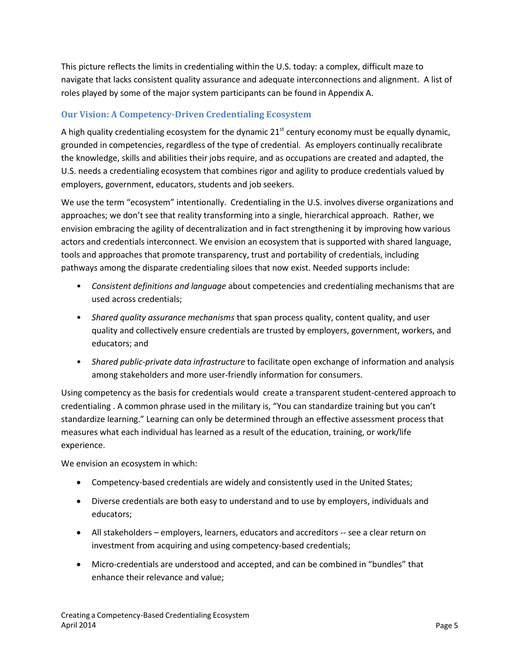This picture reflects the limits in credentialing within the U.S. today: a complex, difficult maze to navigate that lacks consistent quality assurance and adequate interconnections and alignment. A list of roles played by some of the major system participants can be found in Appendix A.

## **Our Vision: A Competency-Driven Credentialing Ecosystem**

A high quality credentialing ecosystem for the dynamic 21<sup>st</sup> century economy must be equally dynamic, grounded in competencies, regardless of the type of credential. As employers continually recalibrate the knowledge, skills and abilities their jobs require, and as occupations are created and adapted, the U.S. needs a credentialing ecosystem that combines rigor and agility to produce credentials valued by employers, government, educators, students and job seekers.

We use the term "ecosystem" intentionally. Credentialing in the U.S. involves diverse organizations and approaches; we don't see that reality transforming into a single, hierarchical approach. Rather, we envision embracing the agility of decentralization and in fact strengthening it by improving how various actors and credentials interconnect. We envision an ecosystem that is supported with shared language, tools and approaches that promote transparency, trust and portability of credentials, including pathways among the disparate credentialing siloes that now exist. Needed supports include:

- *Consistent definitions and language* about competencies and credentialing mechanisms that are used across credentials;
- *Shared quality assurance mechanisms* that span process quality, content quality, and user quality and collectively ensure credentials are trusted by employers, government, workers, and educators; and
- *Shared public-private data infrastructure* to facilitate open exchange of information and analysis among stakeholders and more user-friendly information for consumers.

Using competency as the basis for credentials would create a transparent student-centered approach to credentialing . A common phrase used in the military is, "You can standardize training but you can't standardize learning." Learning can only be determined through an effective assessment process that measures what each individual has learned as a result of the education, training, or work/life experience.

We envision an ecosystem in which:

- Competency-based credentials are widely and consistently used in the United States;
- Diverse credentials are both easy to understand and to use by employers, individuals and educators;
- All stakeholders employers, learners, educators and accreditors -- see a clear return on investment from acquiring and using competency-based credentials;
- Micro-credentials are understood and accepted, and can be combined in "bundles" that enhance their relevance and value;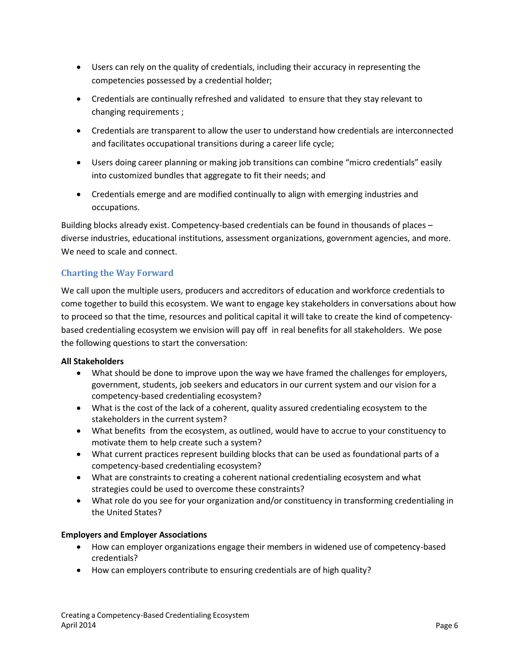- Users can rely on the quality of credentials, including their accuracy in representing the competencies possessed by a credential holder;
- Credentials are continually refreshed and validated to ensure that they stay relevant to changing requirements ;
- Credentials are transparent to allow the user to understand how credentials are interconnected and facilitates occupational transitions during a career life cycle;
- Users doing career planning or making job transitions can combine "micro credentials" easily into customized bundles that aggregate to fit their needs; and
- Credentials emerge and are modified continually to align with emerging industries and occupations.

Building blocks already exist. Competency-based credentials can be found in thousands of places – diverse industries, educational institutions, assessment organizations, government agencies, and more. We need to scale and connect.

## **Charting the Way Forward**

We call upon the multiple users, producers and accreditors of education and workforce credentials to come together to build this ecosystem. We want to engage key stakeholders in conversations about how to proceed so that the time, resources and political capital it will take to create the kind of competencybased credentialing ecosystem we envision will pay off in real benefits for all stakeholders. We pose the following questions to start the conversation:

#### **All Stakeholders**

- What should be done to improve upon the way we have framed the challenges for employers, government, students, job seekers and educators in our current system and our vision for a competency-based credentialing ecosystem?
- What is the cost of the lack of a coherent, quality assured credentialing ecosystem to the stakeholders in the current system?
- What benefits from the ecosystem, as outlined, would have to accrue to your constituency to motivate them to help create such a system?
- What current practices represent building blocks that can be used as foundational parts of a competency-based credentialing ecosystem?
- What are constraints to creating a coherent national credentialing ecosystem and what strategies could be used to overcome these constraints?
- What role do you see for your organization and/or constituency in transforming credentialing in the United States?

#### **Employers and Employer Associations**

- How can employer organizations engage their members in widened use of competency-based credentials?
- How can employers contribute to ensuring credentials are of high quality?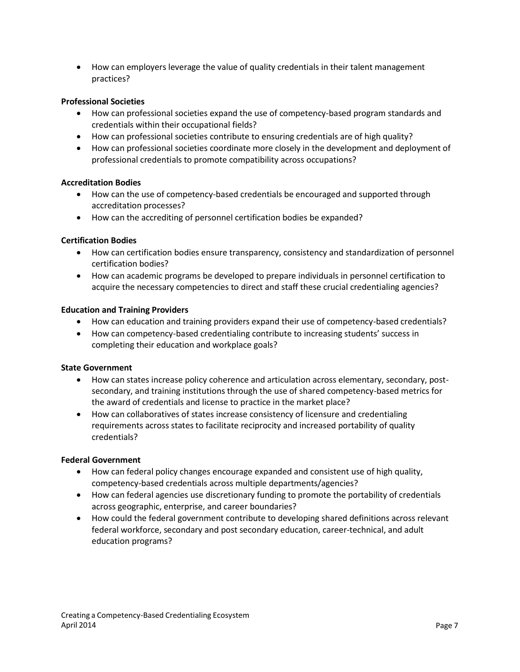How can employers leverage the value of quality credentials in their talent management practices?

#### **Professional Societies**

- How can professional societies expand the use of competency-based program standards and credentials within their occupational fields?
- How can professional societies contribute to ensuring credentials are of high quality?
- How can professional societies coordinate more closely in the development and deployment of professional credentials to promote compatibility across occupations?

#### **Accreditation Bodies**

- How can the use of competency-based credentials be encouraged and supported through accreditation processes?
- How can the accrediting of personnel certification bodies be expanded?

#### **Certification Bodies**

- How can certification bodies ensure transparency, consistency and standardization of personnel certification bodies?
- How can academic programs be developed to prepare individuals in personnel certification to acquire the necessary competencies to direct and staff these crucial credentialing agencies?

#### **Education and Training Providers**

- How can education and training providers expand their use of competency-based credentials?
- How can competency-based credentialing contribute to increasing students' success in completing their education and workplace goals?

#### **State Government**

- How can states increase policy coherence and articulation across elementary, secondary, postsecondary, and training institutions through the use of shared competency-based metrics for the award of credentials and license to practice in the market place?
- How can collaboratives of states increase consistency of licensure and credentialing requirements across states to facilitate reciprocity and increased portability of quality credentials?

#### **Federal Government**

- How can federal policy changes encourage expanded and consistent use of high quality, competency-based credentials across multiple departments/agencies?
- How can federal agencies use discretionary funding to promote the portability of credentials across geographic, enterprise, and career boundaries?
- How could the federal government contribute to developing shared definitions across relevant federal workforce, secondary and post secondary education, career-technical, and adult education programs?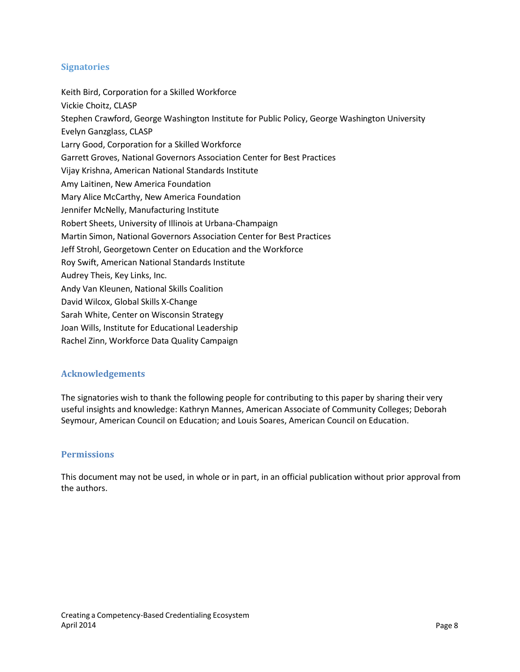## **Signatories**

Keith Bird, Corporation for a Skilled Workforce Vickie Choitz, CLASP Stephen Crawford, George Washington Institute for Public Policy, George Washington University Evelyn Ganzglass, CLASP Larry Good, Corporation for a Skilled Workforce Garrett Groves, National Governors Association Center for Best Practices Vijay Krishna, American National Standards Institute Amy Laitinen, New America Foundation Mary Alice McCarthy, New America Foundation Jennifer McNelly, Manufacturing Institute Robert Sheets, University of Illinois at Urbana-Champaign Martin Simon, National Governors Association Center for Best Practices Jeff Strohl, Georgetown Center on Education and the Workforce Roy Swift, American National Standards Institute Audrey Theis, Key Links, Inc. Andy Van Kleunen, National Skills Coalition David Wilcox, Global Skills X-Change Sarah White, Center on Wisconsin Strategy Joan Wills, Institute for Educational Leadership

Rachel Zinn, Workforce Data Quality Campaign

#### **Acknowledgements**

The signatories wish to thank the following people for contributing to this paper by sharing their very useful insights and knowledge: Kathryn Mannes, American Associate of Community Colleges; Deborah Seymour, American Council on Education; and Louis Soares, American Council on Education.

#### **Permissions**

This document may not be used, in whole or in part, in an official publication without prior approval from the authors.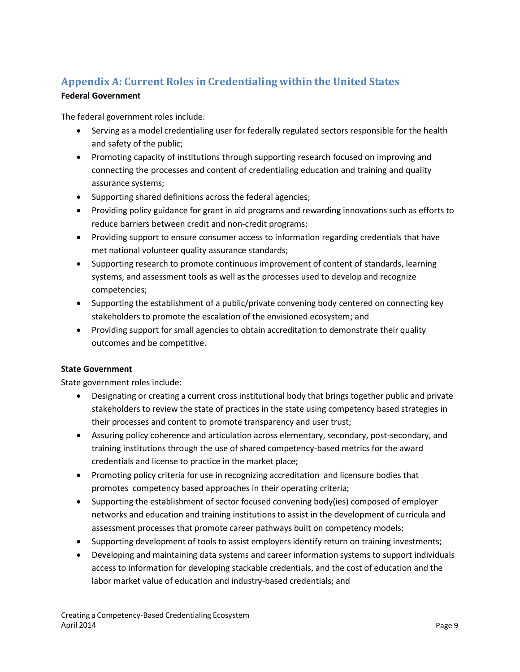## **Appendix A: Current Roles in Credentialing within the United States**

## **Federal Government**

The federal government roles include:

- Serving as a model credentialing user for federally regulated sectors responsible for the health and safety of the public;
- Promoting capacity of institutions through supporting research focused on improving and connecting the processes and content of credentialing education and training and quality assurance systems;
- Supporting shared definitions across the federal agencies;
- Providing policy guidance for grant in aid programs and rewarding innovations such as efforts to reduce barriers between credit and non-credit programs;
- Providing support to ensure consumer access to information regarding credentials that have met national volunteer quality assurance standards;
- Supporting research to promote continuous improvement of content of standards, learning systems, and assessment tools as well as the processes used to develop and recognize competencies;
- Supporting the establishment of a public/private convening body centered on connecting key stakeholders to promote the escalation of the envisioned ecosystem; and
- Providing support for small agencies to obtain accreditation to demonstrate their quality outcomes and be competitive.

## **State Government**

State government roles include:

- Designating or creating a current cross institutional body that brings together public and private stakeholders to review the state of practices in the state using competency based strategies in their processes and content to promote transparency and user trust;
- Assuring policy coherence and articulation across elementary, secondary, post-secondary, and training institutions through the use of shared competency-based metrics for the award credentials and license to practice in the market place;
- Promoting policy criteria for use in recognizing accreditation and licensure bodies that promotes competency based approaches in their operating criteria;
- Supporting the establishment of sector focused convening body(ies) composed of employer networks and education and training institutions to assist in the development of curricula and assessment processes that promote career pathways built on competency models;
- Supporting development of tools to assist employers identify return on training investments;
- Developing and maintaining data systems and career information systems to support individuals access to information for developing stackable credentials, and the cost of education and the labor market value of education and industry-based credentials; and